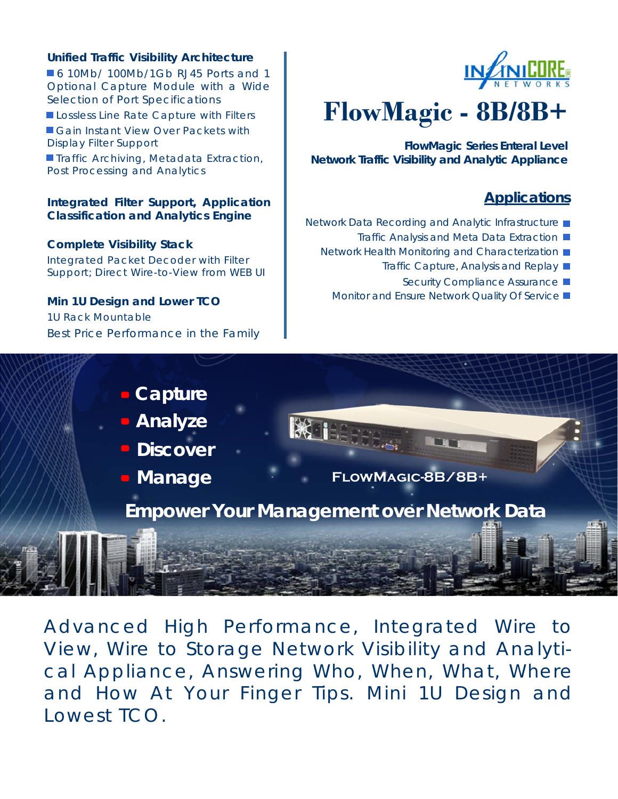### **Unified Traffic Visibility Architecture**

**6 10Mb/ 100Mb/1Gb RJ45 Ports and 1** Optional Capture Module with a Wide Selection of Port Specifications

Lossless Line Rate Capture with Filters

Gain Instant View Over Packets with Display Filter Support

**Traffic Archiving, Metadata Extraction,** Post Processing and Analytics

#### **Integrated Filter Support, Application Classification and Analytics Engine**

#### **Complete Visibility Stack**

Integrated Packet Decoder with Filter Support; Direct Wire-to-View from WEB UI

## **Min 1U Design and Lower TCO**

1U Rack Mountable Best Price Performance in the Family



# **FlowMagic - 8B/8B+**

**FlowMagic Series Enteral Level Network Traffic Visibility and Analytic Appliance** 

# **Applications**

- Network Data Recording and Analytic Infrastructure
	- Traffic Analysis and Meta Data Extraction ■
	- Network Health Monitoring and Characterization
		- Traffic Capture, Analysis and Replay
			- Security Compliance Assurance
		- Monitor and Ensure Network Quality Of Service ■



Advanced High Performance, Integrated Wire to View, Wire to Storage Network Visibility and Analytical Appliance, Answering Who, When, What, Where and How At Your Finger Tips. Mini 1U Design and Lowest TCO.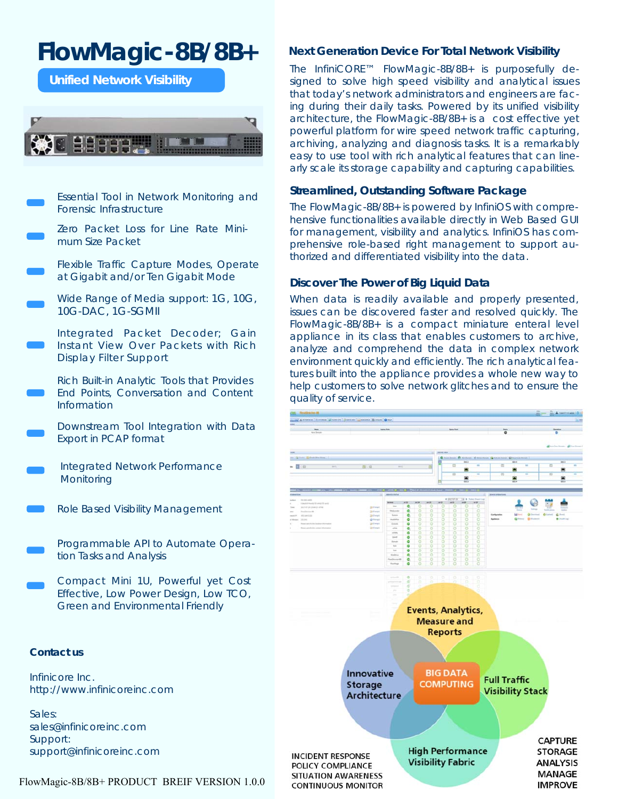# **FlowMagic-8B/8B+**

**Unified Network Visibility** 



Essential Tool in Network Monitoring and Forensic Infrastructure

Zero Packet Loss for Line Rate Minimum Size Packet

Flexible Traffic Capture Modes, Operate at Gigabit and/or Ten Gigabit Mode

Wide Range of Media support: 1G, 10G, 10G-DAC, 1G-SGMII

Integrated Packet Decoder; Gain Instant View Over Packets with Rich Display Filter Support

Rich Built-in Analytic Tools that Provides End Points, Conversation and Content Information

Downstream Tool Integration with Data Export in PCAP format

- Integrated Network Performance **Monitoring**
- Role Based Visibility Management

Programmable API to Automate Operation Tasks and Analysis

Compact Mini 1U, Powerful yet Cost Effective, Low Power Design, Low TCO, Green and Environmental Friendly

#### **Contact us**

Infinicore Inc. http://www.infinicoreinc.com

Sales: sales@infinicoreinc.com Support: support@infinicoreinc.com

#### FlowMagic-8B/8B+ PRODUCT BREIF VERSION 1.0.0

#### **Next Generation Device For Total Network Visibility**

The InfiniCORE™ FlowMagic-8B/8B+ is purposefully designed to solve high speed visibility and analytical issues that today's network administrators and engineers are facing during their daily tasks. Powered by its unified visibility architecture, the FlowMagic-8B/8B+ is a cost effective yet powerful platform for wire speed network traffic capturing, archiving, analyzing and diagnosis tasks. It is a remarkably easy to use tool with rich analytical features that can linearly scale its storage capability and capturing capabilities.

#### **Streamlined, Outstanding Software Package**

The FlowMagic-8B/8B+ is powered by InfiniOS with comprehensive functionalities available directly in Web Based GUI for management, visibility and analytics. InfiniOS has comprehensive role-based right management to support authorized and differentiated visibility into the data.

#### **Discover The Power of Big Liquid Data**

When data is readily available and properly presented, issues can be discovered faster and resolved quickly. The FlowMagic-8B/8B+ is a compact miniature enteral level appliance in its class that enables customers to archive, analyze and comprehend the data in complex network environment quickly and efficiently. The rich analytical features built into the appliance provides a whole new way to help customers to solve network glitches and to ensure the quality of service.

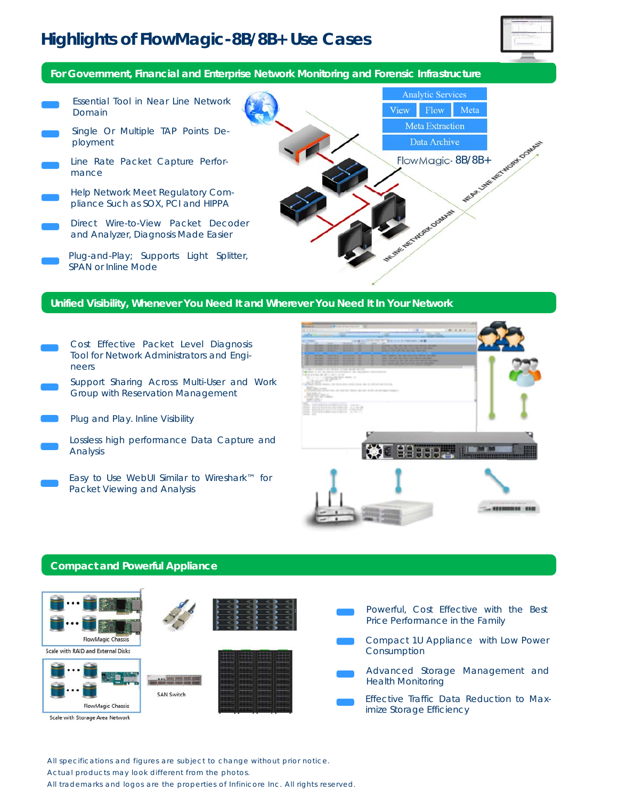# **Highlights of FlowMagic-8B/8B+ Use Cases**



**For Government, Financial and Enterprise Network Monitoring and Forensic Infrastructure** 



#### **Unified Visibility, Whenever You Need It and Wherever You Need It In Your Network**

Cost Effective Packet Level Diagnosis Tool for Network Administrators and Engineers Support Sharing Across Multi-User and Work Group with Reservation Management 339 Plug and Play. Inline Visibility Lossless high performance Data Capture and **KNO BEFFERE** Analysis Easy to Use WebUI Similar to Wireshark™ for Packet Viewing and Analysis

#### **Compact and Powerful Appliance**



All specifications and figures are subject to change without prior notice.

Actual products may look different from the photos.

All trademarks and logos are the properties of Infinicore Inc. All rights reserved.